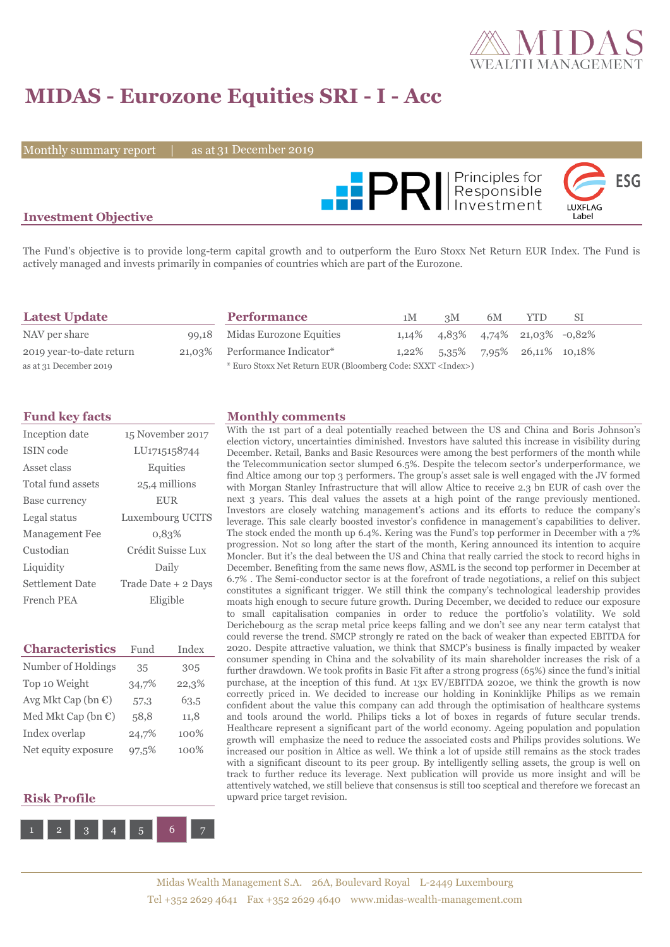

# **MIDAS - Eurozone Equities SRI - I - Acc**

Monthly summary report  $\|$ 

as at 31 December 2019



### **Investment Objective**

The Fund's objective is to provide long-term capital growth and to outperform the Euro Stoxx Net Return EUR Index. The Fund is actively managed and invests primarily in companies of countries which are part of the Eurozone.

| <b>Latest Update</b>     | <b>Performance</b>                                                 | 1M | 3M | 6M | <b>YTD</b>                                     | -SI |
|--------------------------|--------------------------------------------------------------------|----|----|----|------------------------------------------------|-----|
| NAV per share            | 99,18 Midas Eurozone Equities                                      |    |    |    | $1,14\%$ $4,83\%$ $4,74\%$ $21,03\%$ $-0,82\%$ |     |
| 2019 year-to-date return | 21,03% Performance Indicator*                                      |    |    |    | $1,22\%$ 5,35\% 7,95\% 26,11\% 10,18\%         |     |
| as at 31 December 2019   | * Euro Stoxx Net Return EUR (Bloomberg Code: SXXT <index>)</index> |    |    |    |                                                |     |

| Inception date        | 15 November 2017    |
|-----------------------|---------------------|
| ISIN code             | LU1715158744        |
| Asset class           | Equities            |
| Total fund assets     | 25,4 millions       |
| Base currency         | <b>EUR</b>          |
| Legal status          | Luxembourg UCITS    |
| <b>Management Fee</b> | 0,83%               |
| Custodian             | Crédit Suisse Lux   |
| Liquidity             | Daily               |
| Settlement Date       | Trade Date + 2 Days |
| French PEA            | Eligible            |

| <b>Characteristics</b>         | Fund  | Index |
|--------------------------------|-------|-------|
| Number of Holdings             | 35    | 305   |
| Top 10 Weight                  | 34,7% | 22,3% |
| Avg Mkt Cap (bn $\mathbb{C}$ ) | 57,3  | 63,5  |
| Med Mkt Cap (bn €)             | 58,8  | 11,8  |
| Index overlap                  | 24,7% | 100%  |
| Net equity exposure            | 97,5% | 100%  |

#### **Risk Profile**



#### **Fund key facts Monthly comments**

With the 1st part of a deal potentially reached between the US and China and Boris Johnson's election victory, uncertainties diminished. Investors have saluted this increase in visibility during December. Retail, Banks and Basic Resources were among the best performers of the month while the Telecommunication sector slumped 6.5%. Despite the telecom sector's underperformance, we find Altice among our top 3 performers. The group's asset sale is well engaged with the JV formed with Morgan Stanley Infrastructure that will allow Altice to receive 2.3 bn EUR of cash over the next 3 years. This deal values the assets at a high point of the range previously mentioned. Investors are closely watching management's actions and its efforts to reduce the company's leverage. This sale clearly boosted investor's confidence in management's capabilities to deliver. The stock ended the month up 6.4%. Kering was the Fund's top performer in December with a 7% progression. Not so long after the start of the month, Kering announced its intention to acquire Moncler. But it's the deal between the US and China that really carried the stock to record highs in December. Benefiting from the same news flow, ASML is the second top performer in December at 6.7% . The Semi-conductor sector is at the forefront of trade negotiations, a relief on this subject constitutes a significant trigger. We still think the company's technological leadership provides moats high enough to secure future growth. During December, we decided to reduce our exposure to small capitalisation companies in order to reduce the portfolio's volatility. We sold Derichebourg as the scrap metal price keeps falling and we don't see any near term catalyst that could reverse the trend. SMCP strongly re rated on the back of weaker than expected EBITDA for 2020. Despite attractive valuation, we think that SMCP's business is finally impacted by weaker consumer spending in China and the solvability of its main shareholder increases the risk of a further drawdown. We took profits in Basic Fit after a strong progress (65%) since the fund's initial purchase, at the inception of this fund. At 13x EV/EBITDA 2020e, we think the growth is now correctly priced in. We decided to increase our holding in Koninklijke Philips as we remain confident about the value this company can add through the optimisation of healthcare systems and tools around the world. Philips ticks a lot of boxes in regards of future secular trends. Healthcare represent a significant part of the world economy. Ageing population and population growth will emphasize the need to reduce the associated costs and Philips provides solutions. We increased our position in Altice as well. We think a lot of upside still remains as the stock trades with a significant discount to its peer group. By intelligently selling assets, the group is well on track to further reduce its leverage. Next publication will provide us more insight and will be attentively watched, we still believe that consensus is still too sceptical and therefore we forecast an upward price target revision.